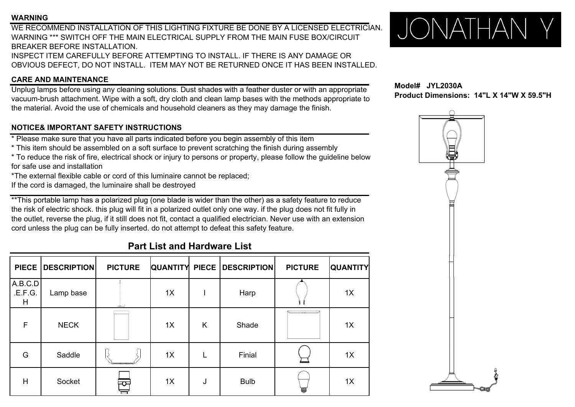### **WARNING**

WE RECOMMEND INSTALLATION OF THIS LIGHTING FIXTURE BE DONE BY A LICENSED ELECTRICIAN.WARNING \*\*\* SWITCH OFF THE MAIN ELECTRICAL SUPPLY FROM THE MAIN FUSE BOX/CIRCUITBREAKER BEFORE INSTALLATION.INSPECT ITEM CAREFULLY BEFORE ATTEMPTING TO INSTALL. IF THERE IS ANY DAMAGE OR OBVIOUS DEFECT, DO NOT INSTALL. ITEM MAY NOT BE RETURNED ONCE IT HAS BEEN INSTALLED.

### **CARE AND MAINTENANCE**

Unplug lamps before using any cleaning solutions. Dust shades with a feather duster or with an appropriate vacuum-brush attachment. Wipe with a soft, dry cloth and clean lamp bases with the methods appropriate to when with the methods appropriate to when we have the children of the word of the methods appropriate to the material. Avoid the use of chemicals and household cleaners as they may damage the finish.

## **NOTICE& IMPORTANT SAFETY INSTRUCTIONS**

\* Please make sure that you have all parts indicated before you begin assembly of this item

 $^\star$  This item should be assembled on a soft surface to prevent scratching the finish during assembly

\* To reduce the risk of fire, electrical shock or injury to persons or property, please follow the guideline below for safe use and installation

\*The external flexible cable or cord of this luminaire cannot be replaced;

If the cord is damaged, the luminaire shall be destroyed

\*\*This portable lamp has a polarized plug (one blade is wider than the other) as a safety feature to reduce the risk of electric shock. this plug will fit in a polarized outlet only one way. if the plug does not fit fully in the outlet, reverse the plug, if it still does not fit, contact a qualified electrician. Never use with an extension cord unless the plug can be fully inserted. do not attempt to defeat this safety feature.

# **Part List and Hardware List**

| <b>PIECE</b>           | <b>DESCRIPTION</b> | <b>PICTURE</b> |    |   | QUANTITY PIECE DESCRIPTION | <b>PICTURE</b> | <b>QUANTITY</b> |
|------------------------|--------------------|----------------|----|---|----------------------------|----------------|-----------------|
| A.B.C.D<br>E.F.G.<br>H | Lamp base          |                | 1X |   | Harp                       |                | 1X              |
| F                      | <b>NECK</b>        |                | 1X | K | Shade                      | <b>COLLEGE</b> | 1X              |
| G                      | Saddle             |                | 1X | L | Finial                     |                | 1X              |
| H                      | Socket             | ਨ $\pm$        | 1X | J | <b>Bulb</b>                |                | 1X              |



**Model# JYL2030AProduct Dimensions: 14"L X 14"W X 59.5"H**